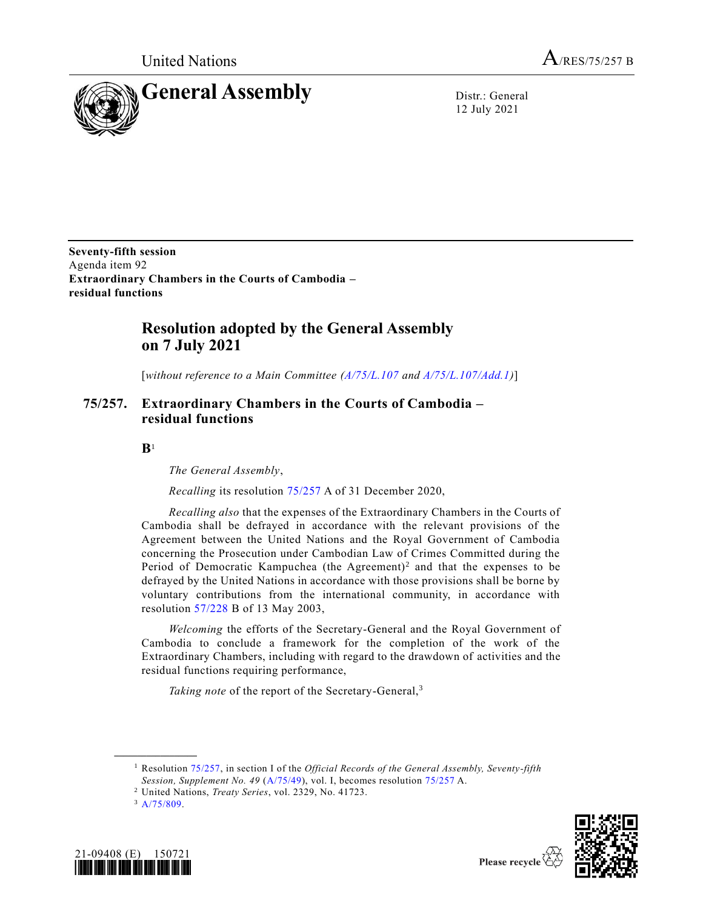

12 July 2021

**Seventy-fifth session** Agenda item 92 **Extraordinary Chambers in the Courts of Cambodia – residual functions**

# **Resolution adopted by the General Assembly on 7 July 2021**

[*without reference to a Main Committee [\(A/75/L.107](https://undocs.org/en/A/75/L.107) and [A/75/L.107/Add.1\)](https://undocs.org/en/A/75/L.107/Add.1)*]

## **75/257. Extraordinary Chambers in the Courts of Cambodia – residual functions**

**B**1

*The General Assembly*,

*Recalling* its resolution [75/257](https://undocs.org/en/A/RES/75/257) A of 31 December 2020,

*Recalling also* that the expenses of the Extraordinary Chambers in the Courts of Cambodia shall be defrayed in accordance with the relevant provisions of the Agreement between the United Nations and the Royal Government of Cambodia concerning the Prosecution under Cambodian Law of Crimes Committed during the Period of Democratic Kampuchea (the Agreement)<sup>2</sup> and that the expenses to be defrayed by the United Nations in accordance with those provisions shall be borne by voluntary contributions from the international community, in accordance with resolution [57/228](https://undocs.org/en/A/RES/57/228b) B of 13 May 2003,

*Welcoming* the efforts of the Secretary-General and the Royal Government of Cambodia to conclude a framework for the completion of the work of the Extraordinary Chambers, including with regard to the drawdown of activities and the residual functions requiring performance,

Taking note of the report of the Secretary-General,<sup>3</sup>

 $3 A/75/809.$  $3 A/75/809.$ 

**\_\_\_\_\_\_\_\_\_\_\_\_\_\_\_\_\_\_**





<sup>1</sup> Resolution [75/257,](https://undocs.org/en/A/RES/75/257) in section I of the *Official Records of the General Assembly, Seventy-fifth Session, Supplement No. 49* [\(A/75/49\)](https://undocs.org/en/A/75/49%20(vol.%20I)), vol. I, becomes resolution [75/257](https://undocs.org/en/A/RES/75/257) A.

<sup>2</sup> United Nations, *Treaty Series*, vol. 2329, No. 41723.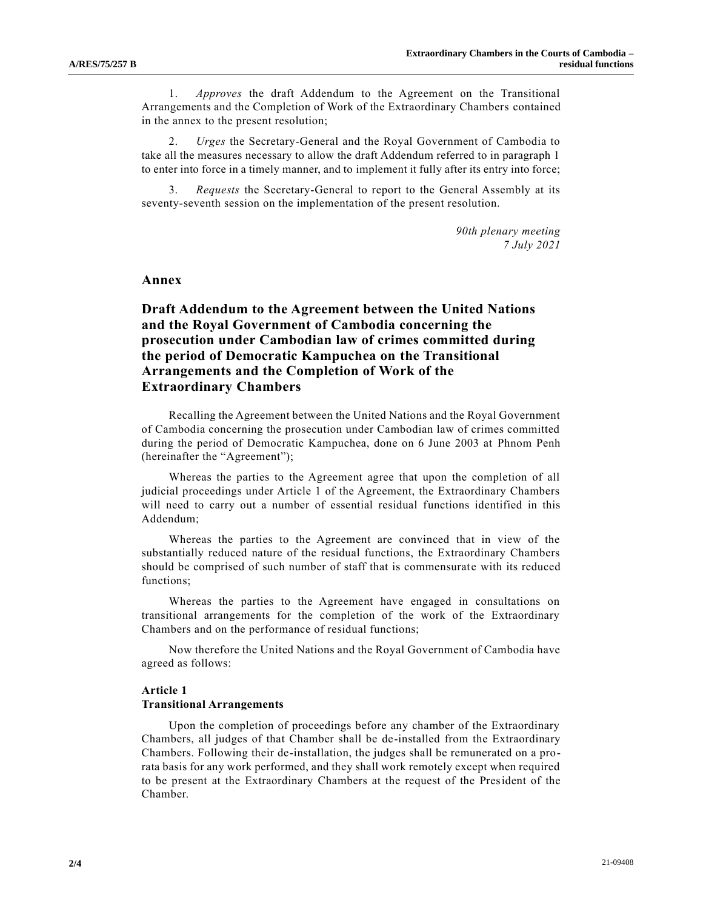1. *Approves* the draft Addendum to the Agreement on the Transitional Arrangements and the Completion of Work of the Extraordinary Chambers contained in the annex to the present resolution;

2. *Urges* the Secretary-General and the Royal Government of Cambodia to take all the measures necessary to allow the draft Addendum referred to in paragraph 1 to enter into force in a timely manner, and to implement it fully after its entry into force;

3. *Requests* the Secretary-General to report to the General Assembly at its seventy-seventh session on the implementation of the present resolution.

> *90th plenary meeting 7 July 2021*

#### **Annex**

## **Draft Addendum to the Agreement between the United Nations and the Royal Government of Cambodia concerning the prosecution under Cambodian law of crimes committed during the period of Democratic Kampuchea on the Transitional Arrangements and the Completion of Work of the Extraordinary Chambers**

Recalling the Agreement between the United Nations and the Royal Government of Cambodia concerning the prosecution under Cambodian law of crimes committed during the period of Democratic Kampuchea, done on 6 June 2003 at Phnom Penh (hereinafter the "Agreement");

Whereas the parties to the Agreement agree that upon the completion of all judicial proceedings under Article 1 of the Agreement, the Extraordinary Chambers will need to carry out a number of essential residual functions identified in this Addendum;

Whereas the parties to the Agreement are convinced that in view of the substantially reduced nature of the residual functions, the Extraordinary Chambers should be comprised of such number of staff that is commensurate with its reduced functions;

Whereas the parties to the Agreement have engaged in consultations on transitional arrangements for the completion of the work of the Extraordinary Chambers and on the performance of residual functions;

Now therefore the United Nations and the Royal Government of Cambodia have agreed as follows:

#### **Article 1**

#### **Transitional Arrangements**

Upon the completion of proceedings before any chamber of the Extraordinary Chambers, all judges of that Chamber shall be de-installed from the Extraordinary Chambers. Following their de-installation, the judges shall be remunerated on a prorata basis for any work performed, and they shall work remotely except when required to be present at the Extraordinary Chambers at the request of the President of the Chamber.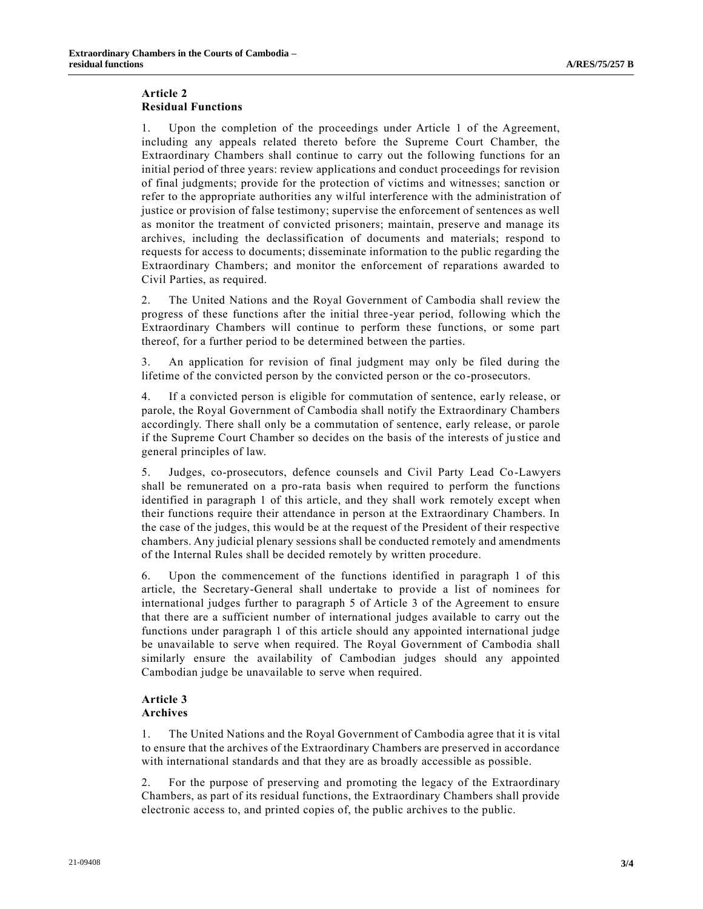#### **Article 2 Residual Functions**

1. Upon the completion of the proceedings under Article 1 of the Agreement, including any appeals related thereto before the Supreme Court Chamber, the Extraordinary Chambers shall continue to carry out the following functions for an initial period of three years: review applications and conduct proceedings for revision of final judgments; provide for the protection of victims and witnesses; sanction or refer to the appropriate authorities any wilful interference with the administration of justice or provision of false testimony; supervise the enforcement of sentences as well as monitor the treatment of convicted prisoners; maintain, preserve and manage its archives, including the declassification of documents and materials; respond to requests for access to documents; disseminate information to the public regarding the Extraordinary Chambers; and monitor the enforcement of reparations awarded to Civil Parties, as required.

2. The United Nations and the Royal Government of Cambodia shall review the progress of these functions after the initial three-year period, following which the Extraordinary Chambers will continue to perform these functions, or some part thereof, for a further period to be determined between the parties.

3. An application for revision of final judgment may only be filed during the lifetime of the convicted person by the convicted person or the co-prosecutors.

4. If a convicted person is eligible for commutation of sentence, early release, or parole, the Royal Government of Cambodia shall notify the Extraordinary Chambers accordingly. There shall only be a commutation of sentence, early release, or parole if the Supreme Court Chamber so decides on the basis of the interests of ju stice and general principles of law.

5. Judges, co-prosecutors, defence counsels and Civil Party Lead Co-Lawyers shall be remunerated on a pro-rata basis when required to perform the functions identified in paragraph 1 of this article, and they shall work remotely except when their functions require their attendance in person at the Extraordinary Chambers. In the case of the judges, this would be at the request of the President of their respective chambers. Any judicial plenary sessions shall be conducted remotely and amendments of the Internal Rules shall be decided remotely by written procedure.

6. Upon the commencement of the functions identified in paragraph 1 of this article, the Secretary-General shall undertake to provide a list of nominees for international judges further to paragraph 5 of Article 3 of the Agreement to ensure that there are a sufficient number of international judges available to carry out the functions under paragraph 1 of this article should any appointed international judge be unavailable to serve when required. The Royal Government of Cambodia shall similarly ensure the availability of Cambodian judges should any appointed Cambodian judge be unavailable to serve when required.

### **Article 3 Archives**

1. The United Nations and the Royal Government of Cambodia agree that it is vital to ensure that the archives of the Extraordinary Chambers are preserved in accordance with international standards and that they are as broadly accessible as possible.

2. For the purpose of preserving and promoting the legacy of the Extraordinary Chambers, as part of its residual functions, the Extraordinary Chambers shall provide electronic access to, and printed copies of, the public archives to the public.